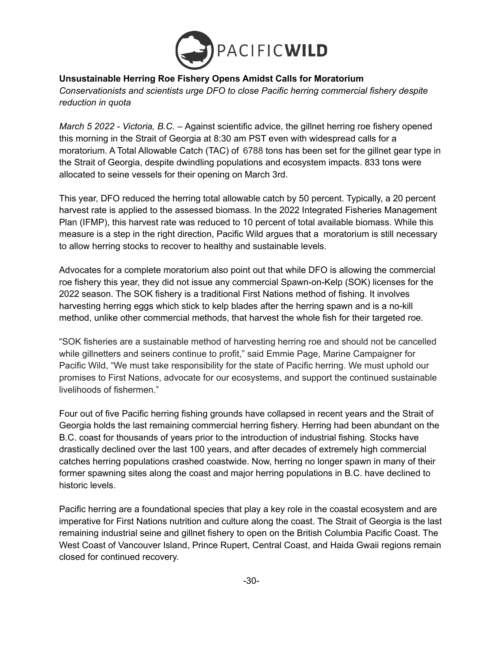

## **Unsustainable Herring Roe Fishery Opens Amidst Calls for Moratorium**

*Conservationists and scientists urge DFO to close Pacific herring commercial fishery despite reduction in quota*

*March 5 2022 - Victoria, B.C. –* Against scientific advice, the gillnet herring roe fishery opened this morning in the Strait of Georgia at 8:30 am PST even with widespread calls for a moratorium. A Total Allowable Catch (TAC) of 6788 tons has been set for the gillnet gear type in the Strait of Georgia, despite dwindling populations and ecosystem impacts. 833 tons were allocated to seine vessels for their opening on March 3rd.

This year, DFO reduced the herring total allowable catch by 50 percent. Typically, a 20 percent harvest rate is applied to the assessed biomass. In the 2022 Integrated Fisheries Management Plan (IFMP), this harvest rate was reduced to 10 percent of total available biomass. While this measure is a step in the right direction, Pacific Wild argues that a moratorium is still necessary to allow herring stocks to recover to healthy and sustainable levels.

Advocates for a complete moratorium also point out that while DFO is allowing the commercial roe fishery this year, they did not issue any commercial Spawn-on-Kelp (SOK) licenses for the 2022 season. The SOK fishery is a traditional First Nations method of fishing. It involves harvesting herring eggs which stick to kelp blades after the herring spawn and is a no-kill method, unlike other commercial methods, that harvest the whole fish for their targeted roe.

"SOK fisheries are a sustainable method of harvesting herring roe and should not be cancelled while gillnetters and seiners continue to profit," said Emmie Page, Marine Campaigner for Pacific Wild, "We must take responsibility for the state of Pacific herring. We must uphold our promises to First Nations, advocate for our ecosystems, and support the continued sustainable livelihoods of fishermen."

Four out of five Pacific herring fishing grounds have collapsed in recent years and the Strait of Georgia holds the last remaining commercial herring fishery. Herring had been abundant on the B.C. coast for thousands of years prior to the introduction of industrial fishing. Stocks have drastically declined over the last 100 years, and after decades of extremely high commercial catches herring populations crashed coastwide. Now, herring no longer spawn in many of their former spawning sites along the coast and major herring populations in B.C. have declined to historic levels.

Pacific herring are a foundational species that play a key role in the coastal ecosystem and are imperative for First Nations nutrition and culture along the coast. The Strait of Georgia is the last remaining industrial seine and gillnet fishery to open on the British Columbia Pacific Coast. The West Coast of Vancouver Island, Prince Rupert, Central Coast, and Haida Gwaii regions remain closed for continued recovery.